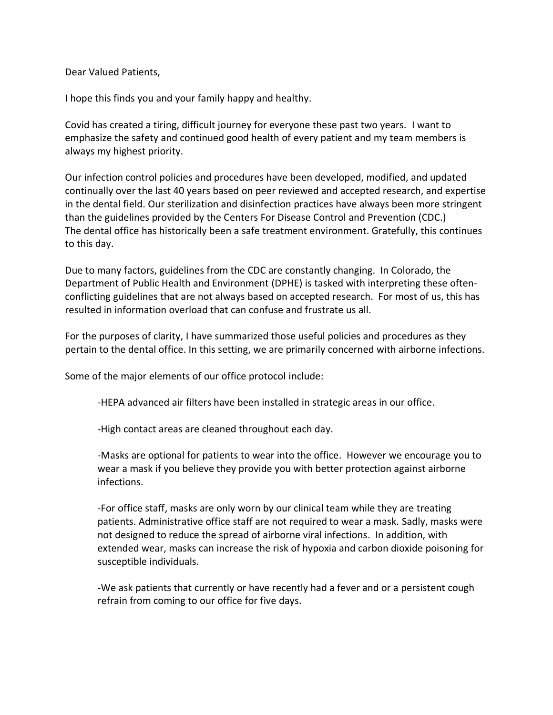Dear Valued Patients,

I hope this finds you and your family happy and healthy.

Covid has created a tiring, difficult journey for everyone these past two years. I want to emphasize the safety and continued good health of every patient and my team members is always my highest priority.

Our infection control policies and procedures have been developed, modified, and updated continually over the last 40 years based on peer reviewed and accepted research, and expertise in the dental field. Our sterilization and disinfection practices have always been more stringent than the guidelines provided by the Centers For Disease Control and Prevention (CDC.) The dental office has historically been a safe treatment environment. Gratefully, this continues to this day.

Due to many factors, guidelines from the CDC are constantly changing. In Colorado, the Department of Public Health and Environment (DPHE) is tasked with interpreting these oftenconflicting guidelines that are not always based on accepted research. For most of us, this has resulted in information overload that can confuse and frustrate us all.

For the purposes of clarity, I have summarized those useful policies and procedures as they pertain to the dental office. In this setting, we are primarily concerned with airborne infections.

Some of the major elements of our office protocol include:

-HEPA advanced air filters have been installed in strategic areas in our office.

-High contact areas are cleaned throughout each day.

-Masks are optional for patients to wear into the office. However we encourage you to wear a mask if you believe they provide you with better protection against airborne infections.

-For office staff, masks are only worn by our clinical team while they are treating patients. Administrative office staff are not required to wear a mask. Sadly, masks were not designed to reduce the spread of airborne viral infections. In addition, with extended wear, masks can increase the risk of hypoxia and carbon dioxide poisoning for susceptible individuals.

-We ask patients that currently or have recently had a fever and or a persistent cough refrain from coming to our office for five days.